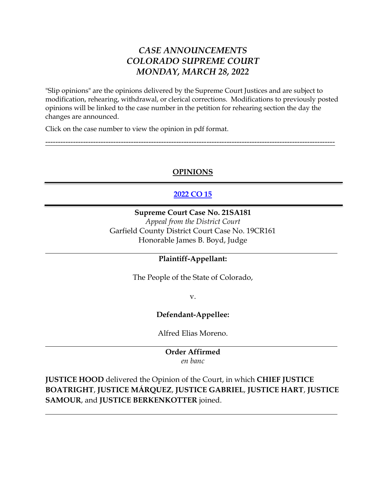# *CASE ANNOUNCEMENTS COLORADO SUPREME COURT MONDAY, MARCH 28, 2022*

"Slip opinions" are the opinions delivered by the Supreme Court Justices and are subject to modification, rehearing, withdrawal, or clerical corrections. Modifications to previously posted opinions will be linked to the case number in the petition for rehearing section the day the changes are announced.

Click on the case number to view the opinion in pdf format.

## **OPINIONS**

-------------------------------------------------------------------------------------------------------------------

# **[2022 CO 15](https://www.courts.state.co.us/userfiles/file/Court_Probation/Supreme_Court/Opinions/2021/21SA181.pdf)**

## **Supreme Court Case No. 21SA181**

*Appeal from the District Court*  Garfield County District Court Case No. 19CR161 Honorable James B. Boyd, Judge

### **Plaintiff-Appellant:**

The People of the State of Colorado,

v.

### **Defendant-Appellee:**

Alfred Elias Moreno.

#### **Order Affirmed** *en banc*

**JUSTICE HOOD** delivered the Opinion of the Court, in which **CHIEF JUSTICE BOATRIGHT**, **JUSTICE MÁRQUEZ**, **JUSTICE GABRIEL**, **JUSTICE HART**, **JUSTICE SAMOUR**, and **JUSTICE BERKENKOTTER** joined.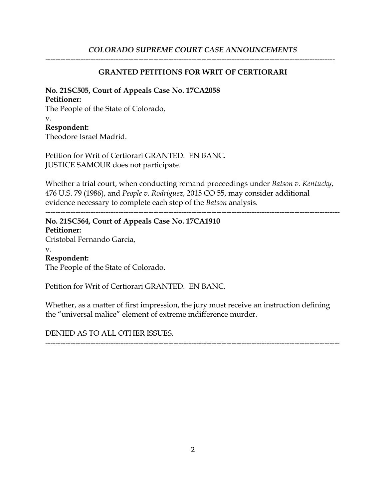### *COLORADO SUPREME COURT CASE ANNOUNCEMENTS*

### **GRANTED PETITIONS FOR WRIT OF CERTIORARI**

-------------------------------------------------------------------------------------------------------------------

## **No. 21SC505, Court of Appeals Case No. 17CA2058**

### **Petitioner:**

The People of the State of Colorado, v. **Respondent:** Theodore Israel Madrid.

Petition for Writ of Certiorari GRANTED. EN BANC. JUSTICE SAMOUR does not participate.

Whether a trial court, when conducting remand proceedings under *Batson v. Kentucky*, 476 U.S. 79 (1986), and *People v. Rodriguez*, 2015 CO 55, may consider additional evidence necessary to complete each step of the *Batson* analysis.

# --------------------------------------------------------------------------------------------------------------------- **No. 21SC564, Court of Appeals Case No. 17CA1910 Petitioner:** Cristobal Fernando Garcia,

v.

# **Respondent:**

The People of the State of Colorado.

Petition for Writ of Certiorari GRANTED. EN BANC.

Whether, as a matter of first impression, the jury must receive an instruction defining the "universal malice" element of extreme indifference murder.

DENIED AS TO ALL OTHER ISSUES.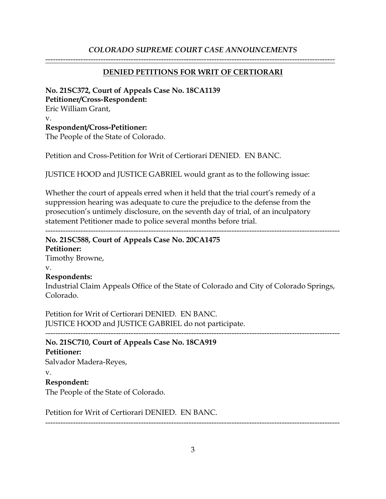### *COLORADO SUPREME COURT CASE ANNOUNCEMENTS*

#### **DENIED PETITIONS FOR WRIT OF CERTIORARI**

-------------------------------------------------------------------------------------------------------------------

## **No. 21SC372, Court of Appeals Case No. 18CA1139 Petitioner/Cross-Respondent:** Eric William Grant, v. **Respondent/Cross-Petitioner:** The People of the State of Colorado.

Petition and Cross-Petition for Writ of Certiorari DENIED. EN BANC.

JUSTICE HOOD and JUSTICE GABRIEL would grant as to the following issue:

Whether the court of appeals erred when it held that the trial court's remedy of a suppression hearing was adequate to cure the prejudice to the defense from the prosecution's untimely disclosure, on the seventh day of trial, of an inculpatory statement Petitioner made to police several months before trial.

---------------------------------------------------------------------------------------------------------------------

# **No. 21SC588, Court of Appeals Case No. 20CA1475**

**Petitioner:** Timothy Browne, v.

#### **Respondents:**

Industrial Claim Appeals Office of the State of Colorado and City of Colorado Springs, Colorado.

Petition for Writ of Certiorari DENIED. EN BANC. JUSTICE HOOD and JUSTICE GABRIEL do not participate.

---------------------------------------------------------------------------------------------------------------------

## **No. 21SC710, Court of Appeals Case No. 18CA919**

#### **Petitioner:**

Salvador Madera-Reyes,

#### v.

#### **Respondent:**

The People of the State of Colorado.

Petition for Writ of Certiorari DENIED. EN BANC.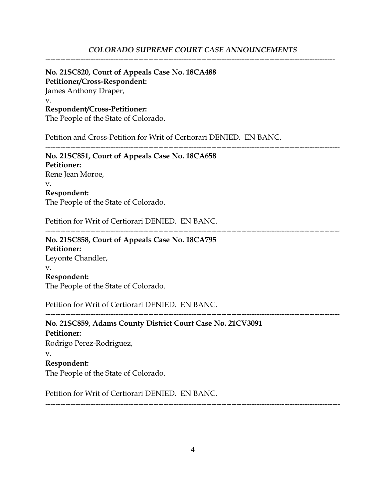#### *COLORADO SUPREME COURT CASE ANNOUNCEMENTS*

-------------------------------------------------------------------------------------------------------------------

#### **No. 21SC820, Court of Appeals Case No. 18CA488 Petitioner/Cross-Respondent:**

James Anthony Draper, v. **Respondent/Cross-Petitioner:**

The People of the State of Colorado.

Petition and Cross-Petition for Writ of Certiorari DENIED. EN BANC.

**No. 21SC851, Court of Appeals Case No. 18CA658 Petitioner:** Rene Jean Moroe, v. **Respondent:** The People of the State of Colorado.

Petition for Writ of Certiorari DENIED. EN BANC.

---------------------------------------------------------------------------------------------------------------------

---------------------------------------------------------------------------------------------------------------------

# **No. 21SC858, Court of Appeals Case No. 18CA795 Petitioner:** Leyonte Chandler, v. **Respondent:** The People of the State of Colorado.

Petition for Writ of Certiorari DENIED. EN BANC.

---------------------------------------------------------------------------------------------------------------------

**No. 21SC859, Adams County District Court Case No. 21CV3091 Petitioner:** Rodrigo Perez-Rodriguez, v. **Respondent:** The People of the State of Colorado.

Petition for Writ of Certiorari DENIED. EN BANC.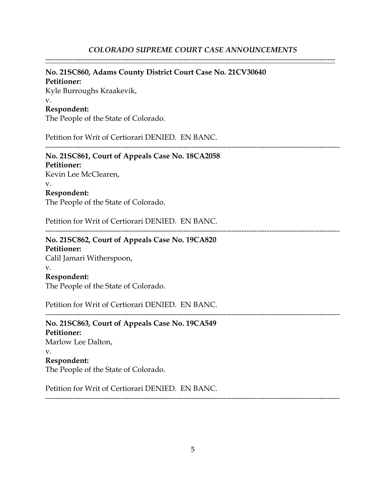-------------------------------------------------------------------------------------------------------------------

# **No. 21SC860, Adams County District Court Case No. 21CV30640**

**Petitioner:** Kyle Burroughs Kraakevik, v.

# **Respondent:**

The People of the State of Colorado.

Petition for Writ of Certiorari DENIED. EN BANC.

---------------------------------------------------------------------------------------------------------------------

#### **No. 21SC861, Court of Appeals Case No. 18CA2058 Petitioner:**

Kevin Lee McClearen,

#### v.

**Respondent:**

The People of the State of Colorado.

Petition for Writ of Certiorari DENIED. EN BANC.

---------------------------------------------------------------------------------------------------------------------

### **No. 21SC862, Court of Appeals Case No. 19CA820 Petitioner:** Calil Jamari Witherspoon,

v.

# **Respondent:**

The People of the State of Colorado.

Petition for Writ of Certiorari DENIED. EN BANC.

---------------------------------------------------------------------------------------------------------------------

**No. 21SC863, Court of Appeals Case No. 19CA549 Petitioner:** Marlow Lee Dalton, v. **Respondent:** The People of the State of Colorado.

Petition for Writ of Certiorari DENIED. EN BANC.